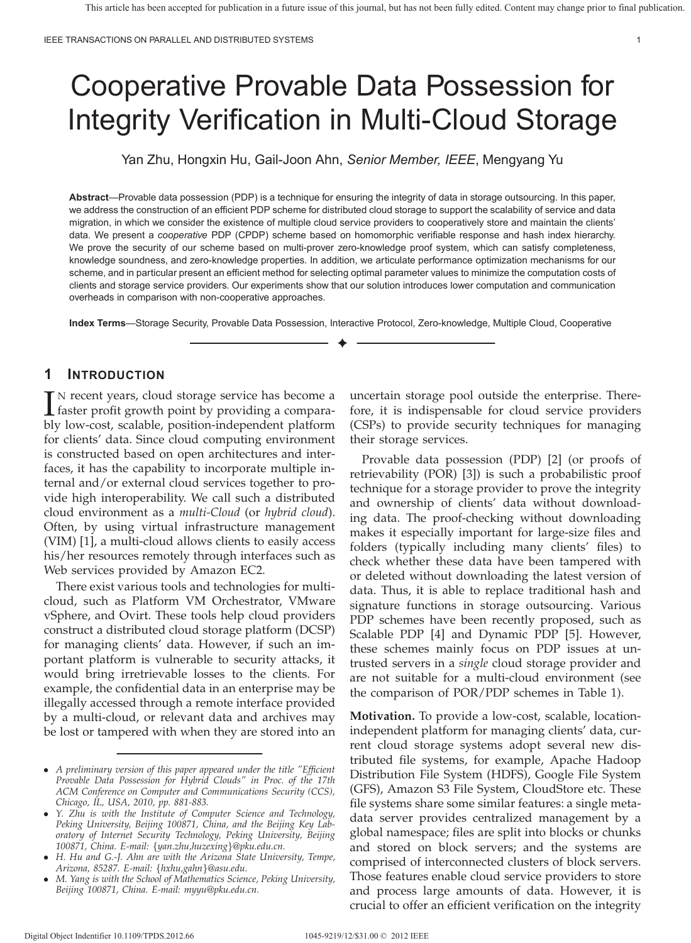# Cooperative Provable Data Possession for Integrity Verification in Multi-Cloud Storage

Yan Zhu, Hongxin Hu, Gail-Joon Ahn, *Senior Member, IEEE*, Mengyang Yu

**Abstract**—Provable data possession (PDP) is a technique for ensuring the integrity of data in storage outsourcing. In this paper, we address the construction of an efficient PDP scheme for distributed cloud storage to support the scalability of service and data migration, in which we consider the existence of multiple cloud service providers to cooperatively store and maintain the clients' data. We present a *cooperative* PDP (CPDP) scheme based on homomorphic verifiable response and hash index hierarchy. We prove the security of our scheme based on multi-prover zero-knowledge proof system, which can satisfy completeness, knowledge soundness, and zero-knowledge properties. In addition, we articulate performance optimization mechanisms for our scheme, and in particular present an efficient method for selecting optimal parameter values to minimize the computation costs of clients and storage service providers. Our experiments show that our solution introduces lower computation and communication overheads in comparison with non-cooperative approaches.

**Index Terms**—Storage Security, Provable Data Possession, Interactive Protocol, Zero-knowledge, Multiple Cloud, Cooperative ✦

## **1 INTRODUCTION**

IN recent years, cloud storage service has become a<br>faster profit growth point by providing a compara-<br>hly low cost, scalable, position independent platform faster profit growth point by providing a comparably low-cost, scalable, position-independent platform for clients' data. Since cloud computing environment is constructed based on open architectures and interfaces, it has the capability to incorporate multiple internal and/or external cloud services together to provide high interoperability. We call such a distributed cloud environment as a *multi-Cloud* (or *hybrid cloud*). Often, by using virtual infrastructure management (VIM) [1], a multi-cloud allows clients to easily access his/her resources remotely through interfaces such as Web services provided by Amazon EC2.

There exist various tools and technologies for multicloud, such as Platform VM Orchestrator, VMware vSphere, and Ovirt. These tools help cloud providers construct a distributed cloud storage platform (DCSP) for managing clients' data. However, if such an important platform is vulnerable to security attacks, it would bring irretrievable losses to the clients. For example, the confidential data in an enterprise may be illegally accessed through a remote interface provided by a multi-cloud, or relevant data and archives may be lost or tampered with when they are stored into an uncertain storage pool outside the enterprise. Therefore, it is indispensable for cloud service providers (CSPs) to provide security techniques for managing their storage services.

Provable data possession (PDP) [2] (or proofs of retrievability (POR) [3]) is such a probabilistic proof technique for a storage provider to prove the integrity and ownership of clients' data without downloading data. The proof-checking without downloading makes it especially important for large-size files and folders (typically including many clients' files) to check whether these data have been tampered with or deleted without downloading the latest version of data. Thus, it is able to replace traditional hash and signature functions in storage outsourcing. Various PDP schemes have been recently proposed, such as Scalable PDP [4] and Dynamic PDP [5]. However, these schemes mainly focus on PDP issues at untrusted servers in a *single* cloud storage provider and are not suitable for a multi-cloud environment (see the comparison of POR/PDP schemes in Table 1).

**Motivation.** To provide a low-cost, scalable, locationindependent platform for managing clients' data, current cloud storage systems adopt several new distributed file systems, for example, Apache Hadoop Distribution File System (HDFS), Google File System (GFS), Amazon S3 File System, CloudStore etc. These file systems share some similar features: a single metadata server provides centralized management by a global namespace; files are split into blocks or chunks and stored on block servers; and the systems are comprised of interconnected clusters of block servers. Those features enable cloud service providers to store and process large amounts of data. However, it is crucial to offer an efficient verification on the integrity

<sup>∙</sup> *A preliminary version of this paper appeared under the title "Efficient Provable Data Possession for Hybrid Clouds" in Proc. of the 17th ACM Conference on Computer and Communications Security (CCS), Chicago, IL, USA, 2010, pp. 881-883.*

<sup>∙</sup> *Y. Zhu is with the Institute of Computer Science and Technology, Peking University, Beijing 100871, China, and the Beijing Key Laboratory of Internet Security Technology, Peking University, Beijing 100871, China. E-mail:* {*yan.zhu,huzexing*}*@pku.edu.cn.*

<sup>∙</sup> *H. Hu and G.-J. Ahn are with the Arizona State University, Tempe, Arizona, 85287. E-mail:* {*hxhu,gahn*}*@asu.edu.*

<sup>∙</sup> *M. Yang is with the School of Mathematics Science, Peking University, Beijing 100871, China. E-mail: myyu@pku.edu.cn.*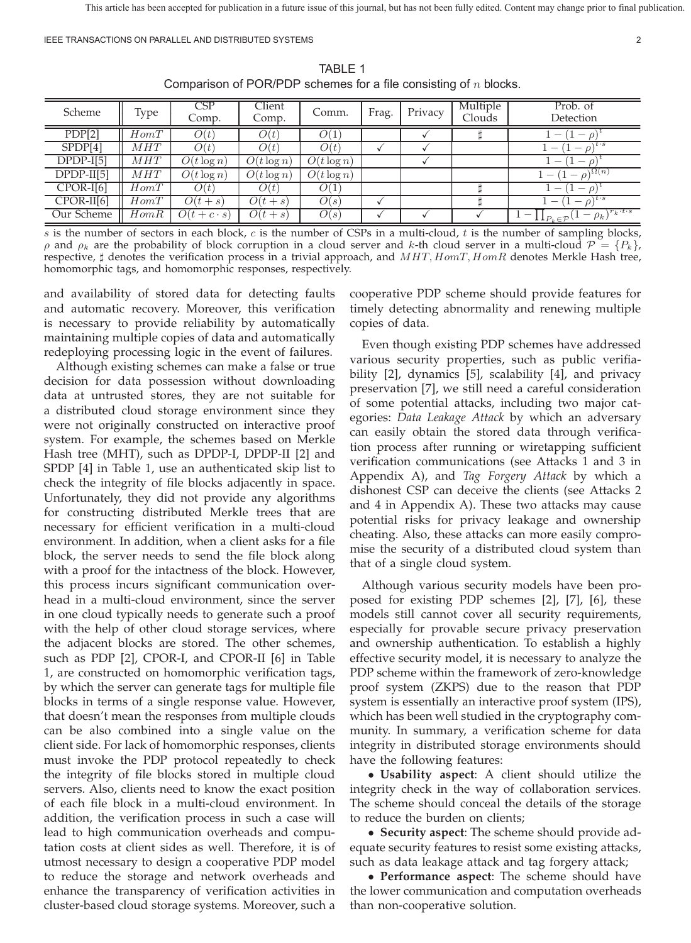IEEE TRANSACTIONS ON PARALLEL AND DISTRIBUTED SYSTEMS 2

| Scheme       | Type | CSP<br>Comp.    | Client<br>Comp. | Comm.                    | Frag. | Privacy | Multiple<br>Clouds | Prob. of<br>Detection                                                |
|--------------|------|-----------------|-----------------|--------------------------|-------|---------|--------------------|----------------------------------------------------------------------|
| PDP[2]       | HomT | O(t)            | O(t)            | Ο(1                      |       |         |                    | $\overline{\phantom{a}}$<br>$\hspace{0.1mm}-\hspace{0.1mm}$          |
| SPDF[4]      | MHT  | O(t)            | O(t)            | O(t)                     |       |         |                    | $\overline{\phantom{a}}$<br>$\overline{\phantom{a}}$                 |
| $DPDP-I[5]$  | MHT  | $O(t \log n)$   | $O(t \log n)$   | $\overline{O}(t \log n)$ |       |         |                    | .<br>.<br>.<br>$\hspace{0.1mm}-\hspace{0.1mm}$                       |
| $DPDP-II[5]$ | MHT  | $O(t \log n)$   | $O(t \log n)$   | $O(t \log n)$            |       |         |                    | $(1-\rho)^{\Omega(n)}$<br>$\hspace{0.1mm}-\hspace{0.1mm}$            |
| $CPOR-I[6]$  | HomT | O(t)            | O(t)            | O(1)                     |       |         |                    | $\overline{\phantom{a}}$<br>$\hspace{0.1mm}-\hspace{0.1mm}$          |
| $CPOR-II[6]$ | HomT | $O(t+s)$        | $O(t+s)$        | O(s)                     |       |         |                    | $\overline{\phantom{a}}$<br>$-\rho$ )<br>$\perp$                     |
| Our Scheme   | HomR | $O(t+c\cdot s)$ | $O(t+s)$        | O(s)                     |       |         |                    | $1 - \prod_{P_k \in \mathcal{P}} (1 - \rho_k)^{r_k \cdot t \cdot s}$ |

TABLE 1 Comparison of POR/PDP schemes for a file consisting of  $n$  blocks.

 $s$  is the number of sectors in each block,  $c$  is the number of CSPs in a multi-cloud,  $t$  is the number of sampling blocks,  $\rho$  and  $\rho_k$  are the probability of block corruption in a cloud server and k-th cloud server in a multi-cloud  $\mathcal{P} = \{P_k\}$ , respective,  $\sharp$  denotes the verification process in a trivial approach, and  $MHT, HomT, HomR$  denotes Merkle Hash tree, homomorphic tags, and homomorphic responses, respectively.

and availability of stored data for detecting faults and automatic recovery. Moreover, this verification is necessary to provide reliability by automatically maintaining multiple copies of data and automatically redeploying processing logic in the event of failures.

Although existing schemes can make a false or true decision for data possession without downloading data at untrusted stores, they are not suitable for a distributed cloud storage environment since they were not originally constructed on interactive proof system. For example, the schemes based on Merkle Hash tree (MHT), such as DPDP-I, DPDP-II [2] and SPDP [4] in Table 1, use an authenticated skip list to check the integrity of file blocks adjacently in space. Unfortunately, they did not provide any algorithms for constructing distributed Merkle trees that are necessary for efficient verification in a multi-cloud environment. In addition, when a client asks for a file block, the server needs to send the file block along with a proof for the intactness of the block. However, this process incurs significant communication overhead in a multi-cloud environment, since the server in one cloud typically needs to generate such a proof with the help of other cloud storage services, where the adjacent blocks are stored. The other schemes, such as PDP [2], CPOR-I, and CPOR-II [6] in Table 1, are constructed on homomorphic verification tags, by which the server can generate tags for multiple file blocks in terms of a single response value. However, that doesn't mean the responses from multiple clouds can be also combined into a single value on the client side. For lack of homomorphic responses, clients must invoke the PDP protocol repeatedly to check the integrity of file blocks stored in multiple cloud servers. Also, clients need to know the exact position of each file block in a multi-cloud environment. In addition, the verification process in such a case will lead to high communication overheads and computation costs at client sides as well. Therefore, it is of utmost necessary to design a cooperative PDP model to reduce the storage and network overheads and enhance the transparency of verification activities in cluster-based cloud storage systems. Moreover, such a

cooperative PDP scheme should provide features for timely detecting abnormality and renewing multiple copies of data.

Even though existing PDP schemes have addressed various security properties, such as public verifiability [2], dynamics [5], scalability [4], and privacy preservation [7], we still need a careful consideration of some potential attacks, including two major categories: *Data Leakage Attack* by which an adversary can easily obtain the stored data through verification process after running or wiretapping sufficient verification communications (see Attacks 1 and 3 in Appendix A), and *Tag Forgery Attack* by which a dishonest CSP can deceive the clients (see Attacks 2 and 4 in Appendix A). These two attacks may cause potential risks for privacy leakage and ownership cheating. Also, these attacks can more easily compromise the security of a distributed cloud system than that of a single cloud system.

Although various security models have been proposed for existing PDP schemes [2], [7], [6], these models still cannot cover all security requirements, especially for provable secure privacy preservation and ownership authentication. To establish a highly effective security model, it is necessary to analyze the PDP scheme within the framework of zero-knowledge proof system (ZKPS) due to the reason that PDP system is essentially an interactive proof system (IPS), which has been well studied in the cryptography community. In summary, a verification scheme for data integrity in distributed storage environments should have the following features:

∙ **Usability aspect**: A client should utilize the integrity check in the way of collaboration services. The scheme should conceal the details of the storage to reduce the burden on clients;

∙ **Security aspect**: The scheme should provide adequate security features to resist some existing attacks, such as data leakage attack and tag forgery attack;

∙ **Performance aspect**: The scheme should have the lower communication and computation overheads than non-cooperative solution.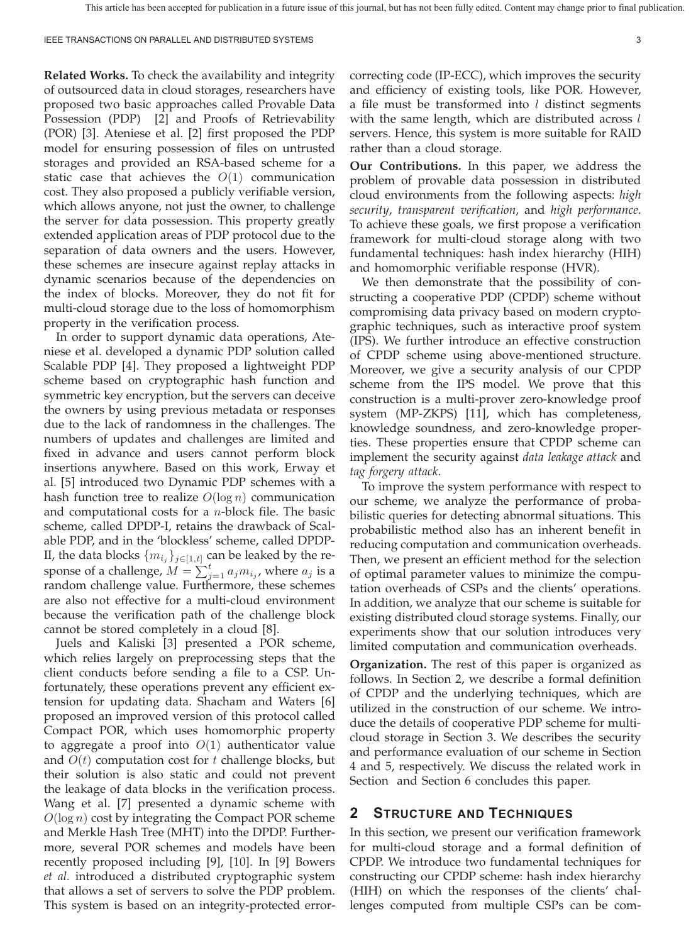**Related Works.** To check the availability and integrity of outsourced data in cloud storages, researchers have proposed two basic approaches called Provable Data Possession (PDP) [2] and Proofs of Retrievability (POR) [3]. Ateniese et al. [2] first proposed the PDP model for ensuring possession of files on untrusted storages and provided an RSA-based scheme for a static case that achieves the  $O(1)$  communication cost. They also proposed a publicly verifiable version, which allows anyone, not just the owner, to challenge the server for data possession. This property greatly extended application areas of PDP protocol due to the separation of data owners and the users. However, these schemes are insecure against replay attacks in dynamic scenarios because of the dependencies on the index of blocks. Moreover, they do not fit for multi-cloud storage due to the loss of homomorphism property in the verification process.

In order to support dynamic data operations, Ateniese et al. developed a dynamic PDP solution called Scalable PDP [4]. They proposed a lightweight PDP scheme based on cryptographic hash function and symmetric key encryption, but the servers can deceive the owners by using previous metadata or responses due to the lack of randomness in the challenges. The numbers of updates and challenges are limited and fixed in advance and users cannot perform block insertions anywhere. Based on this work, Erway et al. [5] introduced two Dynamic PDP schemes with a hash function tree to realize  $O(\log n)$  communication and computational costs for a *n*-block file. The basic scheme, called DPDP-I, retains the drawback of Scalable PDP, and in the 'blockless' scheme, called DPDP-II, the data blocks  $\{m_{i_j}\}_{j\in[1,t]}$  can be leaked by the response of a challenge,  $\tilde{M} = \sum_{j=1}^{t} a_j m_{i_j}$ , where  $a_j$  is a random challenge value. Furthermore, these schemes are also not effective for a multi-cloud environment because the verification path of the challenge block cannot be stored completely in a cloud [8].

Juels and Kaliski [3] presented a POR scheme, which relies largely on preprocessing steps that the client conducts before sending a file to a CSP. Unfortunately, these operations prevent any efficient extension for updating data. Shacham and Waters [6] proposed an improved version of this protocol called Compact POR, which uses homomorphic property to aggregate a proof into  $O(1)$  authenticator value and  $O(t)$  computation cost for  $t$  challenge blocks, but their solution is also static and could not prevent the leakage of data blocks in the verification process. Wang et al. [7] presented a dynamic scheme with  $O(\log n)$  cost by integrating the Compact POR scheme and Merkle Hash Tree (MHT) into the DPDP. Furthermore, several POR schemes and models have been recently proposed including [9], [10]. In [9] Bowers *et al.* introduced a distributed cryptographic system that allows a set of servers to solve the PDP problem. This system is based on an integrity-protected errorcorrecting code (IP-ECC), which improves the security and efficiency of existing tools, like POR. However, a file must be transformed into  $l$  distinct segments with the same length, which are distributed across  $l$ servers. Hence, this system is more suitable for RAID rather than a cloud storage.

**Our Contributions.** In this paper, we address the problem of provable data possession in distributed cloud environments from the following aspects: *high security*, *transparent verification*, and *high performance*. To achieve these goals, we first propose a verification framework for multi-cloud storage along with two fundamental techniques: hash index hierarchy (HIH) and homomorphic verifiable response (HVR).

We then demonstrate that the possibility of constructing a cooperative PDP (CPDP) scheme without compromising data privacy based on modern cryptographic techniques, such as interactive proof system (IPS). We further introduce an effective construction of CPDP scheme using above-mentioned structure. Moreover, we give a security analysis of our CPDP scheme from the IPS model. We prove that this construction is a multi-prover zero-knowledge proof system (MP-ZKPS) [11], which has completeness, knowledge soundness, and zero-knowledge properties. These properties ensure that CPDP scheme can implement the security against *data leakage attack* and *tag forgery attack*.

To improve the system performance with respect to our scheme, we analyze the performance of probabilistic queries for detecting abnormal situations. This probabilistic method also has an inherent benefit in reducing computation and communication overheads. Then, we present an efficient method for the selection of optimal parameter values to minimize the computation overheads of CSPs and the clients' operations. In addition, we analyze that our scheme is suitable for existing distributed cloud storage systems. Finally, our experiments show that our solution introduces very limited computation and communication overheads.

**Organization.** The rest of this paper is organized as follows. In Section 2, we describe a formal definition of CPDP and the underlying techniques, which are utilized in the construction of our scheme. We introduce the details of cooperative PDP scheme for multicloud storage in Section 3. We describes the security and performance evaluation of our scheme in Section 4 and 5, respectively. We discuss the related work in Section and Section 6 concludes this paper.

## **2 STRUCTURE AND TECHNIQUES**

In this section, we present our verification framework for multi-cloud storage and a formal definition of CPDP. We introduce two fundamental techniques for constructing our CPDP scheme: hash index hierarchy (HIH) on which the responses of the clients' challenges computed from multiple CSPs can be com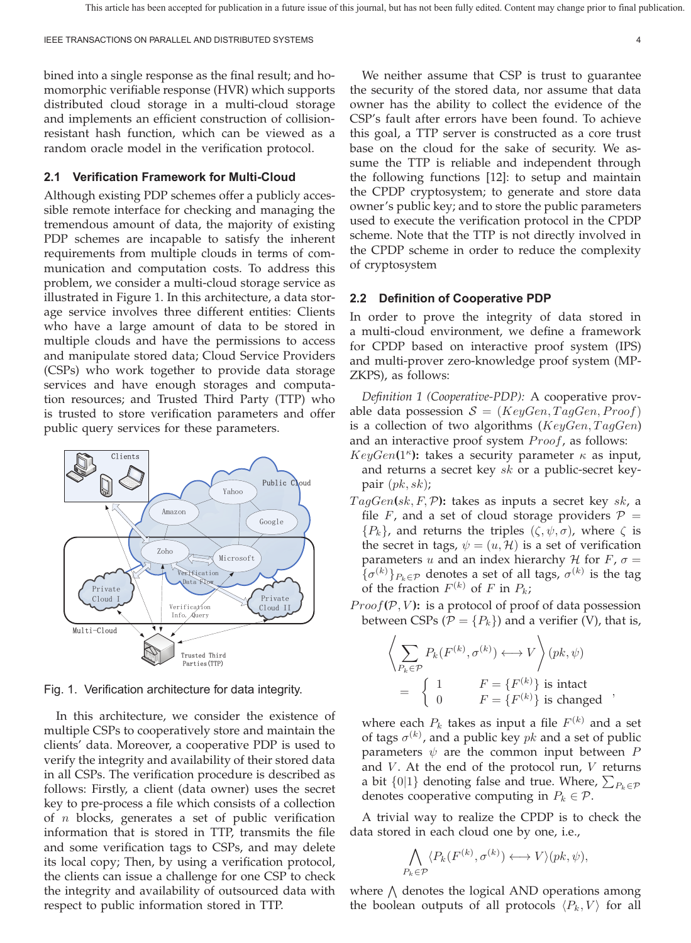bined into a single response as the final result; and homomorphic verifiable response (HVR) which supports distributed cloud storage in a multi-cloud storage and implements an efficient construction of collisionresistant hash function, which can be viewed as a random oracle model in the verification protocol.

## **2.1 Verification Framework for Multi-Cloud**

Although existing PDP schemes offer a publicly accessible remote interface for checking and managing the tremendous amount of data, the majority of existing PDP schemes are incapable to satisfy the inherent requirements from multiple clouds in terms of communication and computation costs. To address this problem, we consider a multi-cloud storage service as illustrated in Figure 1. In this architecture, a data storage service involves three different entities: Clients who have a large amount of data to be stored in multiple clouds and have the permissions to access and manipulate stored data; Cloud Service Providers (CSPs) who work together to provide data storage services and have enough storages and computation resources; and Trusted Third Party (TTP) who is trusted to store verification parameters and offer public query services for these parameters.



Fig. 1. Verification architecture for data integrity.

In this architecture, we consider the existence of multiple CSPs to cooperatively store and maintain the clients' data. Moreover, a cooperative PDP is used to verify the integrity and availability of their stored data in all CSPs. The verification procedure is described as follows: Firstly, a client (data owner) uses the secret key to pre-process a file which consists of a collection of  $n$  blocks, generates a set of public verification information that is stored in TTP, transmits the file and some verification tags to CSPs, and may delete its local copy; Then, by using a verification protocol, the clients can issue a challenge for one CSP to check the integrity and availability of outsourced data with respect to public information stored in TTP.

We neither assume that CSP is trust to guarantee the security of the stored data, nor assume that data owner has the ability to collect the evidence of the CSP's fault after errors have been found. To achieve this goal, a TTP server is constructed as a core trust base on the cloud for the sake of security. We assume the TTP is reliable and independent through the following functions [12]: to setup and maintain the CPDP cryptosystem; to generate and store data owner's public key; and to store the public parameters used to execute the verification protocol in the CPDP scheme. Note that the TTP is not directly involved in the CPDP scheme in order to reduce the complexity of cryptosystem

#### **2.2 Definition of Cooperative PDP**

In order to prove the integrity of data stored in a multi-cloud environment, we define a framework for CPDP based on interactive proof system (IPS) and multi-prover zero-knowledge proof system (MP-ZKPS), as follows:

*Definition 1 (Cooperative-PDP):* A cooperative provable data possession  $S = (KeyGen, TagGen, Proof)$ is a collection of two algorithms ( $KeyGen, TagGen$ ) and an interactive proof system  $Proof$ , as follows:

- $KeyGen(1^{\kappa})$ : takes a security parameter  $\kappa$  as input, and returns a secret key  $sk$  or a public-secret keypair  $(pk, sk)$ ;
- $TagGen(sk, F, P)$ : takes as inputs a secret key  $sk$ , a file F, and a set of cloud storage providers  $P =$  ${P_k}$ , and returns the triples  $(\zeta, \psi, \sigma)$ , where  $\zeta$  is the secret in tags,  $\psi = (u, \mathcal{H})$  is a set of verification parameters *u* and an index hierarchy *H* for  $F$ ,  $\sigma$  =  ${σ<sup>(k)</sup>}P<sub>k</sub>∈p$  denotes a set of all tags,  $σ<sup>(k)</sup>$  is the tag of the fraction  $F^{(k)}$  of F in  $P_k$ ;
- $Proof(P, V)$ : is a protocol of proof of data possession between CSPs ( $\mathcal{P} = \{P_k\}$ ) and a verifier (V), that is,

$$
\left\langle \sum_{P_k \in \mathcal{P}} P_k(F^{(k)}, \sigma^{(k)}) \longleftrightarrow V \right\rangle (pk, \psi)
$$
  
= 
$$
\left\{ \begin{array}{ll} 1 & F = \{F^{(k)}\} \text{ is intact} \\ 0 & F = \{F^{(k)}\} \text{ is changed} \end{array} \right.,
$$

where each  $P_k$  takes as input a file  $F^{(k)}$  and a set of tags  $\sigma^{(k)}$ , and a public key  $pk$  and a set of public parameters  $\psi$  are the common input between P and  $V$ . At the end of the protocol run,  $V$  returns a bit  $\{0|1\}$  denoting false and true. Where,  $\sum_{P_k \in \mathcal{P}}$ denotes cooperative computing in  $P_k \in \mathcal{P}$ .

A trivial way to realize the CPDP is to check the data stored in each cloud one by one, i.e.,

$$
\bigwedge_{P_k \in \mathcal{P}} \langle P_k(F^{(k)}, \sigma^{(k)}) \longleftrightarrow V \rangle (pk, \psi),
$$

where  $\Lambda$  denotes the logical AND operations among the boolean outputs of all protocols  $\langle P_k, V \rangle$  for all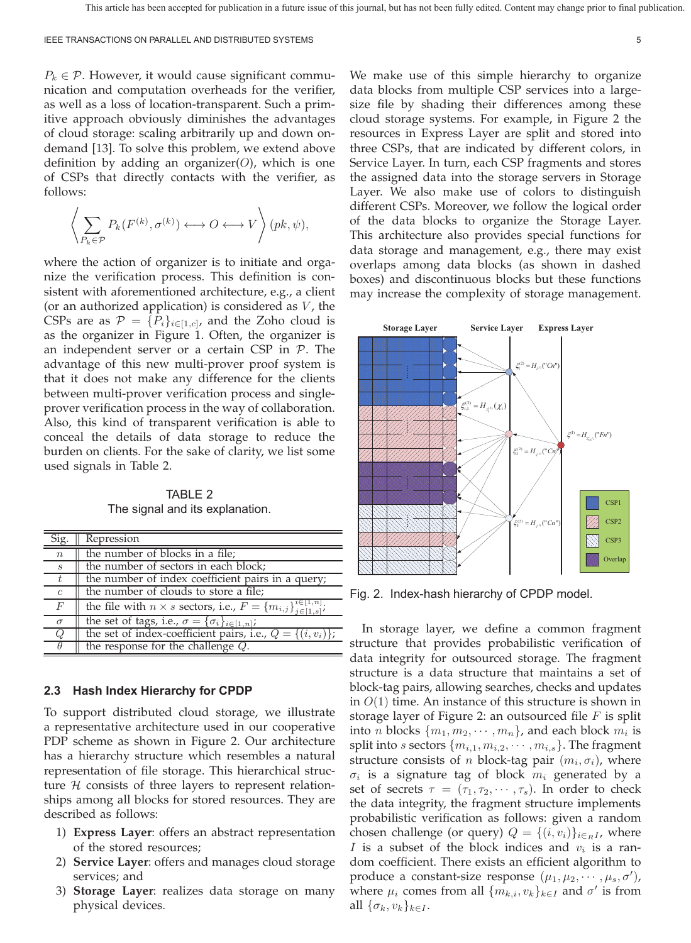$P_k \in \mathcal{P}$ . However, it would cause significant communication and computation overheads for the verifier, as well as a loss of location-transparent. Such a primitive approach obviously diminishes the advantages of cloud storage: scaling arbitrarily up and down ondemand [13]. To solve this problem, we extend above definition by adding an organizer(O), which is one of CSPs that directly contacts with the verifier, as follows:

$$
\left\langle \sum_{P_k \in \mathcal{P}} P_k(F^{(k)}, \sigma^{(k)}) \longleftrightarrow O \longleftrightarrow V \right\rangle (pk, \psi),
$$

where the action of organizer is to initiate and organize the verification process. This definition is consistent with aforementioned architecture, e.g., a client (or an authorized application) is considered as  $V$ , the CSPs are as  $\mathcal{P} = \{P_i\}_{i \in [1,c]}$ , and the Zoho cloud is as the organizer in Figure 1. Often, the organizer is an independent server or a certain CSP in  $P$ . The advantage of this new multi-prover proof system is that it does not make any difference for the clients between multi-prover verification process and singleprover verification process in the way of collaboration. Also, this kind of transparent verification is able to conceal the details of data storage to reduce the burden on clients. For the sake of clarity, we list some used signals in Table 2.

TABLE 2 The signal and its explanation.

| Sig.             | Repression                                                                                |
|------------------|-------------------------------------------------------------------------------------------|
| $\boldsymbol{n}$ | the number of blocks in a file;                                                           |
| S                | the number of sectors in each block;                                                      |
|                  | the number of index coefficient pairs in a query;                                         |
| $\mathfrak{c}$   | the number of clouds to store a file;                                                     |
| F                | the file with $n \times s$ sectors, i.e., $F = \{m_{i,j}\}_{j \in [1,s]}^{i \in [1,n]}$ . |
| $\sigma$         | the set of tags, i.e., $\sigma = {\sigma_i}_{i \in [1, n]}$ ;                             |
| Ο                | the set of index-coefficient pairs, i.e., $Q = \{(i, v_i)\};$                             |
|                  | the response for the challenge $Q$ .                                                      |

#### **2.3 Hash Index Hierarchy for CPDP**

To support distributed cloud storage, we illustrate a representative architecture used in our cooperative PDP scheme as shown in Figure 2. Our architecture has a hierarchy structure which resembles a natural representation of file storage. This hierarchical structure  $H$  consists of three layers to represent relationships among all blocks for stored resources. They are described as follows:

- 1) **Express Layer**: offers an abstract representation of the stored resources;
- 2) **Service Layer**: offers and manages cloud storage services; and
- 3) **Storage Layer**: realizes data storage on many physical devices.

We make use of this simple hierarchy to organize data blocks from multiple CSP services into a largesize file by shading their differences among these cloud storage systems. For example, in Figure 2 the resources in Express Layer are split and stored into three CSPs, that are indicated by different colors, in Service Layer. In turn, each CSP fragments and stores the assigned data into the storage servers in Storage Layer. We also make use of colors to distinguish different CSPs. Moreover, we follow the logical order of the data blocks to organize the Storage Layer. This architecture also provides special functions for data storage and management, e.g., there may exist overlaps among data blocks (as shown in dashed boxes) and discontinuous blocks but these functions may increase the complexity of storage management.



Fig. 2. Index-hash hierarchy of CPDP model.

In storage layer, we define a common fragment structure that provides probabilistic verification of data integrity for outsourced storage. The fragment structure is a data structure that maintains a set of block-tag pairs, allowing searches, checks and updates in  $O(1)$  time. An instance of this structure is shown in storage layer of Figure 2: an outsourced file  $F$  is split into *n* blocks  $\{m_1, m_2, \cdots, m_n\}$ , and each block  $m_i$  is split into *s* sectors  $\{m_{i,1}, m_{i,2}, \cdots, m_{i,s}\}$ . The fragment structure consists of *n* block-tag pair  $(m_i, \sigma_i)$ , where  $\sigma_i$  is a signature tag of block  $m_i$  generated by a set of secrets  $\tau = (\tau_1, \tau_2, \cdots, \tau_s)$ . In order to check the data integrity, the fragment structure implements probabilistic verification as follows: given a random chosen challenge (or query)  $Q = \{(i, v_i)\}_{i \in_R I}$ , where I is a subset of the block indices and  $v_i$  is a random coefficient. There exists an efficient algorithm to produce a constant-size response  $(\mu_1, \mu_2, \cdots, \mu_s, \sigma')$ , where  $\mu_i$  comes from all  $\{m_{k,i}, v_k\}_{k \in I}$  and  $\sigma'$  is from all  $\{\sigma_k, v_k\}_{k \in I}$ .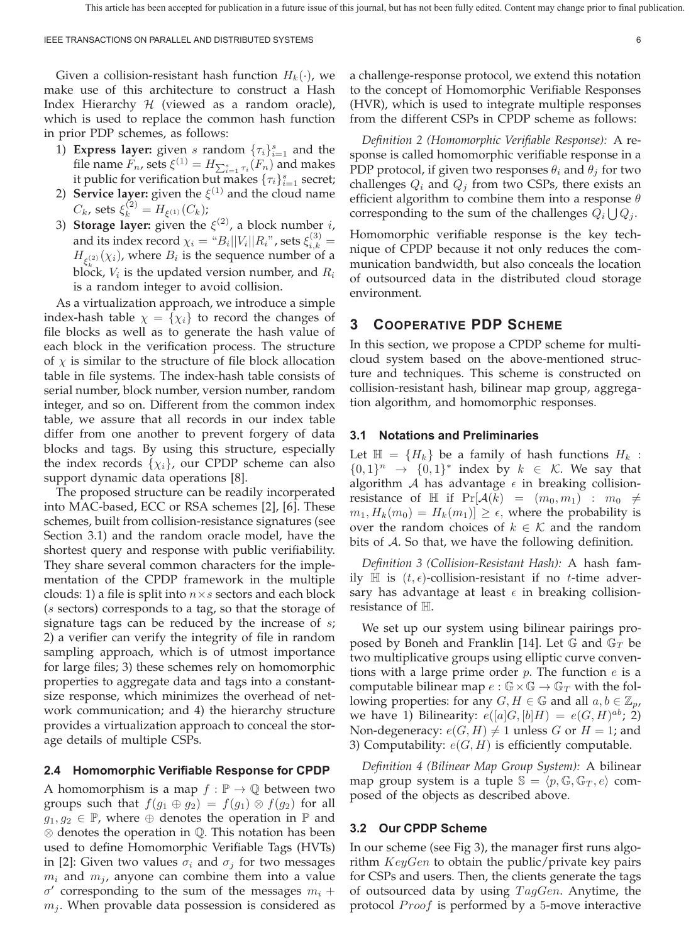Given a collision-resistant hash function  $H_k(\cdot)$ , we make use of this architecture to construct a Hash Index Hierarchy  $H$  (viewed as a random oracle), which is used to replace the common hash function in prior PDP schemes, as follows:

- 1) **Express layer:** given *s* random  ${\{\tau_i\}}_{i=1}^s$  and the file name  $F_n$ , sets  $\xi^{(1)} = H_{\sum_{i=1}^s \tau_i}(F_n)$  and makes it public for verification but makes  $\{\tau_i\}_{i=1}^s$  secret;
- 2) **Service layer:** given the  $\xi^{(1)}$  and the cloud name  $C_k$ , sets  $\xi_k^{(2)} = H_{\xi^{(1)}}(C_k)$ ;
- 3) **Storage layer:** given the  $\xi^{(2)}$ , a block number *i*, and its index record  $\chi_i = \text{``}B_i||V_i||R_i\text{''}$  , sets  $\xi_{i,k}^{(3)} =$  $H_{\xi_k^{(2)}}(\chi_i)$ , where  $B_i$  is the sequence number of a block,  $V_i$  is the updated version number, and  $R_i$ is a random integer to avoid collision.

As a virtualization approach, we introduce a simple index-hash table  $\chi = {\chi_i}$  to record the changes of file blocks as well as to generate the hash value of each block in the verification process. The structure of  $\chi$  is similar to the structure of file block allocation table in file systems. The index-hash table consists of serial number, block number, version number, random integer, and so on. Different from the common index table, we assure that all records in our index table differ from one another to prevent forgery of data blocks and tags. By using this structure, especially the index records  $\{\chi_i\}$ , our CPDP scheme can also support dynamic data operations [8].

The proposed structure can be readily incorperated into MAC-based, ECC or RSA schemes [2], [6]. These schemes, built from collision-resistance signatures (see Section 3.1) and the random oracle model, have the shortest query and response with public verifiability. They share several common characters for the implementation of the CPDP framework in the multiple clouds: 1) a file is split into  $n \times s$  sectors and each block (*s* sectors) corresponds to a tag, so that the storage of signature tags can be reduced by the increase of  $s$ ; 2) a verifier can verify the integrity of file in random sampling approach, which is of utmost importance for large files; 3) these schemes rely on homomorphic properties to aggregate data and tags into a constantsize response, which minimizes the overhead of network communication; and 4) the hierarchy structure provides a virtualization approach to conceal the storage details of multiple CSPs.

#### **2.4 Homomorphic Verifiable Response for CPDP**

A homomorphism is a map  $f : \mathbb{P} \to \mathbb{Q}$  between two groups such that  $f(g_1 \oplus g_2) = f(g_1) \otimes f(g_2)$  for all  $g_1, g_2 \in \mathbb{P}$ , where  $\oplus$  denotes the operation in  $\mathbb{P}$  and ⊗ denotes the operation in ℚ. This notation has been used to define Homomorphic Verifiable Tags (HVTs) in [2]: Given two values  $\sigma_i$  and  $\sigma_j$  for two messages  $m_i$  and  $m_j$ , anyone can combine them into a value  $\sigma'$  corresponding to the sum of the messages  $m_i + \sigma'$  $m_i$ . When provable data possession is considered as a challenge-response protocol, we extend this notation to the concept of Homomorphic Verifiable Responses (HVR), which is used to integrate multiple responses from the different CSPs in CPDP scheme as follows:

*Definition 2 (Homomorphic Verifiable Response):* A response is called homomorphic verifiable response in a PDP protocol, if given two responses  $\theta_i$  and  $\theta_j$  for two challenges  $Q_i$  and  $Q_i$  from two CSPs, there exists an efficient algorithm to combine them into a response  $\theta$ corresponding to the sum of the challenges  $Q_i \bigcup Q_j$ .

Homomorphic verifiable response is the key technique of CPDP because it not only reduces the communication bandwidth, but also conceals the location of outsourced data in the distributed cloud storage environment.

## **3 COOPERATIVE PDP SCHEME**

In this section, we propose a CPDP scheme for multicloud system based on the above-mentioned structure and techniques. This scheme is constructed on collision-resistant hash, bilinear map group, aggregation algorithm, and homomorphic responses.

### **3.1 Notations and Preliminaries**

Let  $\mathbb{H} = \{H_k\}$  be a family of hash functions  $H_k$ :  $\{0,1\}^n \rightarrow \{0,1\}^*$  index by  $k \in \mathcal{K}$ . We say that algorithm A has advantage  $\epsilon$  in breaking collisionresistance of H if  $Pr[\mathcal{A}(k) = (m_0, m_1) : m_0 \neq$  $m_1, H_k(m_0) = H_k(m_1) \geq \epsilon$ , where the probability is over the random choices of  $k \in \mathcal{K}$  and the random bits of  $A$ . So that, we have the following definition.

*Definition 3 (Collision-Resistant Hash):* A hash family  $\mathbb H$  is  $(t, \epsilon)$ -collision-resistant if no *t*-time adversary has advantage at least  $\epsilon$  in breaking collisionresistance of ℍ.

We set up our system using bilinear pairings proposed by Boneh and Franklin [14]. Let G and  $\mathbb{G}_T$  be two multiplicative groups using elliptic curve conventions with a large prime order  $p$ . The function  $e$  is a computable bilinear map  $e : \mathbb{G} \times \mathbb{G} \to \mathbb{G}_T$  with the following properties: for any  $G, H \in \mathbb{G}$  and all  $a, b \in \mathbb{Z}_p$ , we have 1) Bilinearity:  $e([a]G, [b]H) = e(G, H)^{ab}$ ; 2) Non-degeneracy:  $e(G, H) \neq 1$  unless G or  $H = 1$ ; and 3) Computability:  $e(G, H)$  is efficiently computable.

*Definition 4 (Bilinear Map Group System):* A bilinear map group system is a tuple  $\mathbb{S} = \langle p, \mathbb{G}, \mathbb{G}_T, e \rangle$  composed of the objects as described above.

#### **3.2 Our CPDP Scheme**

In our scheme (see Fig 3), the manager first runs algorithm  $KeyGen$  to obtain the public/private key pairs for CSPs and users. Then, the clients generate the tags of outsourced data by using  $TagGen$ . Anytime, the protocol  $Proof$  is performed by a 5-move interactive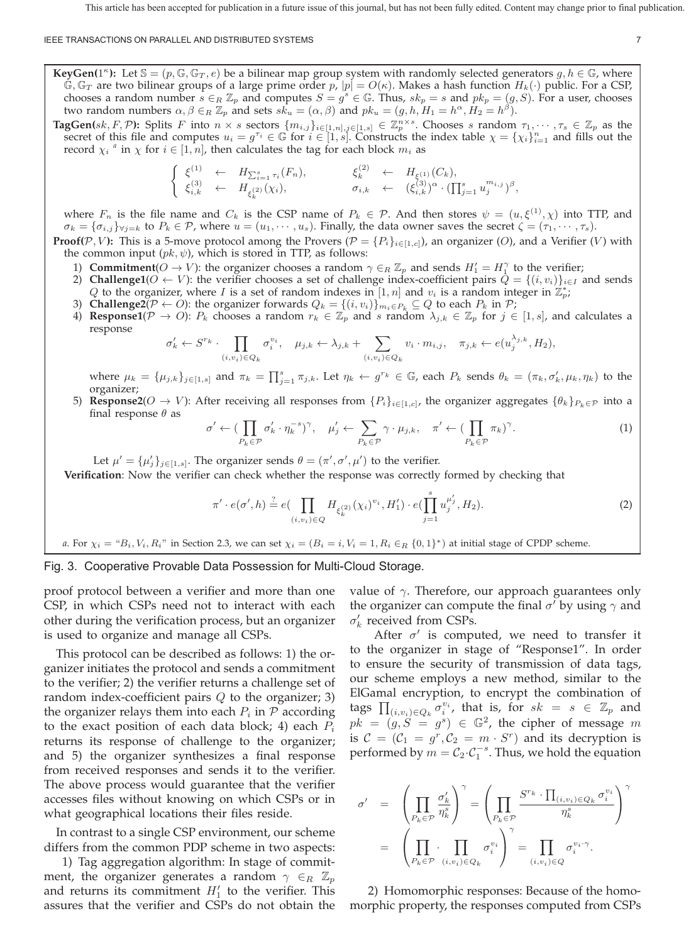#### IEEE TRANSACTIONS ON PARALLEL AND DISTRIBUTED SYSTEMS 7

**KeyGen(1<sup>***k***</sup>):** Let  $\mathbb{S} = (p, \mathbb{G}, \mathbb{G}_T, e)$  be a bilinear map group system with randomly selected generators  $q, h \in \mathbb{G}$ , where  $\mathbb{G}, \mathbb{G}_T$  are two bilinear groups of a large prime order  $p$ ,  $|p| = O(\kappa)$ . Makes a hash function  $H_k(\cdot)$  public. For a CSP, chooses a random number  $s \in_R \mathbb{Z}_p$  and computes  $S = g^s \in \mathbb{G}$ . Thus,  $sk_p = s$  and  $pk_p = (g, S)$ . For a user, chooses two random numbers  $\alpha, \beta \in_R \mathbb{Z}_p$  and sets  $sk_u = (\alpha, \beta)$  and  $pk_u = (g, h, H_1 = h^\alpha, H_2 = h^\beta)$ .

**TagGen(** $sk, F, \mathcal{P}$ ): Splits F into  $n \times s$  sectors  $\{m_{i,j}\}_{i \in [1,n], j \in [1,s]} \in \mathbb{Z}_p^{n \times s}$ . Chooses s random  $\tau_1, \dots, \tau_s \in \mathbb{Z}_p$  as the secret of this file and computes  $u_i = g^{\tau_i} \in \mathbb{G}$  for  $i \in [1, s]$ . Constructs the index table  $\chi = {\chi_i}_{i=1}^n$  and fills out the record  $\chi_i$ <sup>a</sup> in  $\chi$  for  $i \in [1, n]$ , then calculates the tag for each block  $m_i$  as

$$
\begin{cases}\n\xi^{(1)} \leftarrow H_{\sum_{i=1}^s \tau_i}(F_n), & \xi_k^{(2)} \leftarrow H_{\xi^{(1)}}(C_k), \\
\xi_{i,k}^{(3)} \leftarrow H_{\xi_k^{(2)}}(\chi_i), & \sigma_{i,k} \leftarrow (\xi_{i,k}^{(3)})^{\alpha} \cdot (\prod_{j=1}^s u_j^{m_{i,j}})^{\beta},\n\end{cases}
$$

where  $F_n$  is the file name and  $C_k$  is the CSP name of  $P_k \in \mathcal{P}$ . And then stores  $\psi = (u, \xi^{(1)}, \chi)$  into TTP, and  $\sigma_k = {\sigma_{i,j}}_{\forall j=k}$  to  $P_k \in \mathcal{P}$ , where  $u = (u_1, \dots, u_s)$ . Finally, the data owner saves the secret  $\zeta = (\tau_1, \dots, \tau_s)$ .

**Proof(** $P$ ,  $V$ ): This is a 5-move protocol among the Provers ( $P = \{P_i\}_{i \in [1,c]}$ ), an organizer (O), and a Verifier ( $V$ ) with the common input  $(pk, \psi)$ , which is stored in TTP, as follows:

- 1) **Commitment**( $O \to V$ ): the organizer chooses a random  $\gamma \in_R \mathbb{Z}_p$  and sends  $H'_1 = H_1^{\gamma}$  to the verifier;
- 2) **Challenge1**( $O \leftarrow V$ ): the verifier chooses a set of challenge index-coefficient pairs  $Q = \{(i, v_i)\}_{i \in I}$  and sends Q to the organizer, where I is a set of random indexes in [1, n] and  $v_i$  is a random integer in  $\mathbb{Z}_p^*$ ;
- 3) **Challenge2**( $P \leftarrow O$ ): the organizer forwards  $Q_k = \{(i, v_i)\}_{m_i \in P_k} \subseteq Q$  to each  $P_k$  in  $P$ ;
- 4) **Response1**( $P \to O$ ):  $P_k$  chooses a random  $r_k \in \mathbb{Z}_p$  and s random  $\lambda_{j,k} \in \mathbb{Z}_p$  for  $j \in [1, s]$ , and calculates a response

$$
\sigma'_k \leftarrow S^{r_k} \cdot \prod_{(i,v_i)\in Q_k} \sigma_i^{v_i}, \quad \mu_{j,k} \leftarrow \lambda_{j,k} + \sum_{(i,v_i)\in Q_k} v_i \cdot m_{i,j}, \quad \pi_{j,k} \leftarrow e(u_j^{\lambda_{j,k}}, H_2),
$$

where  $\mu_k = {\mu_{j,k}}_{j \in [1,s]}$  and  $\pi_k = \prod_{j=1}^s \pi_{j,k}$ . Let  $\eta_k \leftarrow g^{r_k} \in \mathbb{G}$ , each  $P_k$  sends  $\theta_k = (\pi_k, \sigma'_k, \mu_k, \eta_k)$  to the organizer;

5) **Response2**( $O \to V$ ): After receiving all responses from  $\{P_i\}_{i\in[1,c]}$ , the organizer aggregates  $\{\theta_k\}_{P_k\in\mathcal{P}}$  into a final response  $\theta$  as

$$
\left\langle \leftarrow \left( \prod_{P_k \in \mathcal{P}} \sigma'_k \cdot \eta_k^{-s} \right)^{\gamma}, \quad \mu'_j \leftarrow \sum_{P_k \in \mathcal{P}} \gamma \cdot \mu_{j,k}, \quad \pi' \leftarrow \left( \prod_{P_k \in \mathcal{P}} \pi_k \right)^{\gamma}.
$$
 (1)

Let  $\mu' = {\mu'_j}_{j \in [1,s]}$ . The organizer sends  $\theta = (\pi', \sigma', \mu')$  to the verifier.

**Verification**: Now the verifier can check whether the response was correctly formed by checking that

$$
\pi' \cdot e(\sigma', h) \stackrel{?}{=} e\left(\prod_{(i, v_i) \in Q} H_{\xi_k^{(2)}}(\chi_i)^{v_i}, H_1'\right) \cdot e\left(\prod_{j=1}^s u_j^{\mu'_j}, H_2\right).
$$
\n(2)

*a*. For  $\chi_i = {}^u B_i$ ,  $V_i$ ,  $R_i$ " in Section 2.3, we can set  $\chi_i = (B_i = i, V_i = 1, R_i \in_R \{0, 1\}^*)$  at initial stage of CPDP scheme.

## Fig. 3. Cooperative Provable Data Possession for Multi-Cloud Storage.

 $\sigma'$ 

proof protocol between a verifier and more than one CSP, in which CSPs need not to interact with each other during the verification process, but an organizer is used to organize and manage all CSPs.

This protocol can be described as follows: 1) the organizer initiates the protocol and sends a commitment to the verifier; 2) the verifier returns a challenge set of random index-coefficient pairs  $Q$  to the organizer; 3) the organizer relays them into each  $P_i$  in  $P$  according to the exact position of each data block; 4) each  $P_i$ returns its response of challenge to the organizer; and 5) the organizer synthesizes a final response from received responses and sends it to the verifier. The above process would guarantee that the verifier accesses files without knowing on which CSPs or in what geographical locations their files reside.

In contrast to a single CSP environment, our scheme differs from the common PDP scheme in two aspects:

1) Tag aggregation algorithm: In stage of commitment, the organizer generates a random  $\gamma \in_R \mathbb{Z}_p$ and returns its commitment  $H'_1$  to the verifier. This assures that the verifier and CSPs do not obtain the value of  $\gamma$ . Therefore, our approach guarantees only the organizer can compute the final  $\sigma'$  by using  $\gamma$  and  $\sigma'_{k}$  received from CSPs.

After  $\sigma'$  is computed, we need to transfer it to the organizer in stage of "Response1". In order to ensure the security of transmission of data tags, our scheme employs a new method, similar to the ElGamal encryption, to encrypt the combination of tags  $\prod_{(i,v_i)\in Q_k} \sigma_i^{v_i}$ , that is, for  $sk = s \in \mathbb{Z}_p$  and  $pk = (g, S = g<sup>s</sup>) \in \mathbb{G}^{2}$ , the cipher of message m is  $C = (C_1 = g^r, C_2 = m \cdot S^r)$  and its decryption is performed by  $m = C_2 \cdot C_1^{-s}$ . Thus, we hold the equation

$$
\begin{array}{rcl} \sigma' & = & \displaystyle \left( \prod_{P_k \in \mathcal{P}} \frac{\sigma'_k}{\eta^s_k} \right)^\gamma = \left( \prod_{P_k \in \mathcal{P}} \frac{S^{r_k} \cdot \prod_{(i,v_i) \in Q_k} \sigma_i^{v_i}}{\eta^s_k} \right)^\gamma \\ & = & \displaystyle \left( \prod_{P_k \in \mathcal{P}} \cdot \prod_{(i,v_i) \in Q_k} \sigma_i^{v_i} \right)^\gamma = \prod_{(i,v_i) \in Q} \sigma_i^{v_i \cdot \gamma}. \end{array}
$$

2) Homomorphic responses: Because of the homomorphic property, the responses computed from CSPs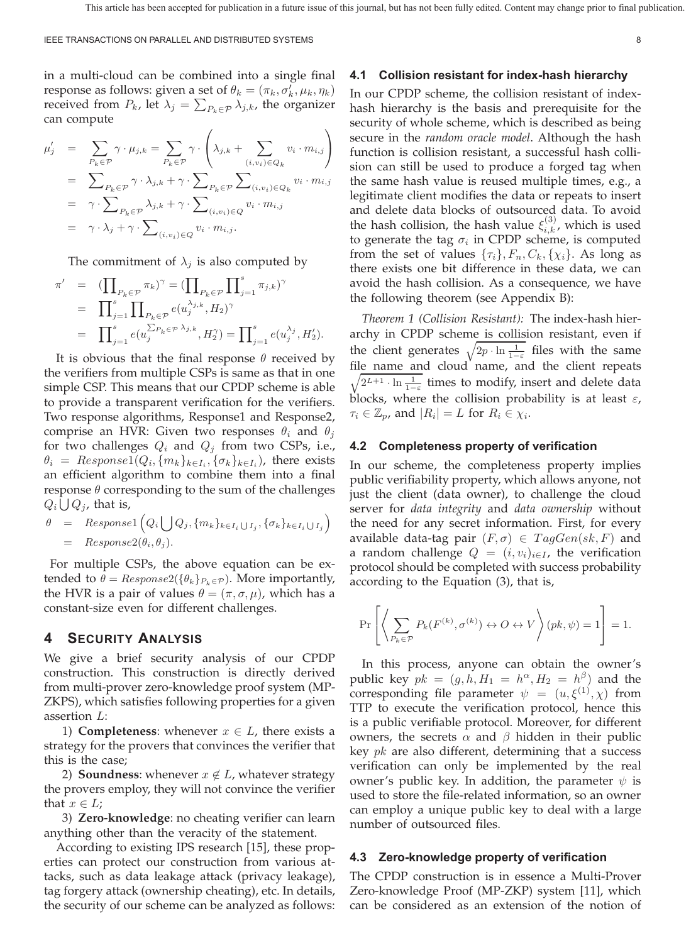in a multi-cloud can be combined into a single final response as follows: given a set of  $\theta_k = (\pi_k, \sigma'_k, \mu_k, \eta_k)$ received from  $P_k$ , let  $\lambda_j = \sum_{P_k \in \mathcal{P}} \lambda_{j,k}$ , the organizer can compute

$$
\mu'_{j} = \sum_{P_{k} \in \mathcal{P}} \gamma \cdot \mu_{j,k} = \sum_{P_{k} \in \mathcal{P}} \gamma \cdot \left(\lambda_{j,k} + \sum_{(i,v_{i}) \in Q_{k}} v_{i} \cdot m_{i,j}\right)
$$
  
\n
$$
= \sum_{P_{k} \in \mathcal{P}} \gamma \cdot \lambda_{j,k} + \gamma \cdot \sum_{P_{k} \in \mathcal{P}} \sum_{(i,v_{i}) \in Q_{k}} v_{i} \cdot m_{i,j}
$$
  
\n
$$
= \gamma \cdot \sum_{P_{k} \in \mathcal{P}} \lambda_{j,k} + \gamma \cdot \sum_{(i,v_{i}) \in Q} v_{i} \cdot m_{i,j}
$$
  
\n
$$
= \gamma \cdot \lambda_{j} + \gamma \cdot \sum_{(i,v_{i}) \in Q} v_{i} \cdot m_{i,j}.
$$

The commitment of  $\lambda_i$  is also computed by

$$
\begin{array}{lcl} \pi' & = & \displaystyle (\prod_{P_k \in \mathcal{P}} \pi_k)^\gamma = (\prod_{P_k \in \mathcal{P}} \prod_{j=1}^s \pi_{j,k})^\gamma \\ & = & \displaystyle \prod_{j=1}^s \prod_{P_k \in \mathcal{P}} e(u_j^{\lambda_{j,k}},H_2)^\gamma \\ & = & \displaystyle \prod_{j=1}^s e(u_j^{\sum_{P_k \in \mathcal{P}} \lambda_{j,k}},H_2^\gamma) = \prod_{j=1}^s e(u_j^{\lambda_j},H_2'). \end{array}
$$

It is obvious that the final response  $\theta$  received by the verifiers from multiple CSPs is same as that in one simple CSP. This means that our CPDP scheme is able to provide a transparent verification for the verifiers. Two response algorithms, Response1 and Response2, comprise an HVR: Given two responses  $\theta_i$  and  $\theta_j$ for two challenges  $Q_i$  and  $Q_j$  from two CSPs, i.e.,  $\theta_i = Respose1(Q_i, \{m_k\}_{k \in I_i}, \{\sigma_k\}_{k \in I_i})$ , there exists an efficient algorithm to combine them into a final response  $\theta$  corresponding to the sum of the challenges  $Q_i\bigcup Q_j$ , that is,

$$
\begin{array}{rcl} \theta & = & Respose1\left(Q_i \bigcup Q_j, \{m_k\}_{k \in I_i \bigcup I_j}, \{\sigma_k\}_{k \in I_i \bigcup I_j}\right) \\ & = & Respose2(\theta_i, \theta_j). \end{array}
$$

For multiple CSPs, the above equation can be extended to  $\theta = Response2(\{\theta_k\}_{P_k \in \mathcal{P}})$ . More importantly, the HVR is a pair of values  $\theta = (\pi, \sigma, \mu)$ , which has a constant-size even for different challenges.

## **4 SECURITY ANALYSIS**

We give a brief security analysis of our CPDP construction. This construction is directly derived from multi-prover zero-knowledge proof system (MP-ZKPS), which satisfies following properties for a given assertion  $L$ :

1) **Completeness**: whenever  $x \in L$ , there exists a strategy for the provers that convinces the verifier that this is the case;

2) **Soundness**: whenever  $x \notin L$ , whatever strategy the provers employ, they will not convince the verifier that  $x \in L$ ;

3) **Zero-knowledge**: no cheating verifier can learn anything other than the veracity of the statement.

According to existing IPS research [15], these properties can protect our construction from various attacks, such as data leakage attack (privacy leakage), tag forgery attack (ownership cheating), etc. In details, the security of our scheme can be analyzed as follows:

#### **4.1 Collision resistant for index-hash hierarchy**

In our CPDP scheme, the collision resistant of indexhash hierarchy is the basis and prerequisite for the security of whole scheme, which is described as being secure in the *random oracle model*. Although the hash function is collision resistant, a successful hash collision can still be used to produce a forged tag when the same hash value is reused multiple times, e.g., a legitimate client modifies the data or repeats to insert and delete data blocks of outsourced data. To avoid the hash collision, the hash value  $\xi_{i,k}^{(3)}$ , which is used to generate the tag  $\sigma_i$  in CPDP scheme, is computed from the set of values  $\{\tau_i\}, F_n, C_k, \{\chi_i\}$ . As long as there exists one bit difference in these data, we can avoid the hash collision. As a consequence, we have the following theorem (see Appendix B):

*Theorem 1 (Collision Resistant):* The index-hash hierarchy in CPDP scheme is collision resistant, even if the client generates  $\sqrt{2p \cdot \ln \frac{1}{1-\varepsilon}}$  files with the same file name and cloud name, and the client repeats  $\sqrt{2^{L+1} \cdot \ln \frac{1}{1-\varepsilon}}$  times to modify, insert and delete data blocks, where the collision probability is at least  $\varepsilon$ ,  $\tau_i \in \mathbb{Z}_p$ , and  $|R_i| = L$  for  $R_i \in \chi_i$ .

#### **4.2 Completeness property of verification**

In our scheme, the completeness property implies public verifiability property, which allows anyone, not just the client (data owner), to challenge the cloud server for *data integrity* and *data ownership* without the need for any secret information. First, for every available data-tag pair  $(F, \sigma) \in TagGen(sk, F)$  and a random challenge  $Q = (i, v_i)_{i \in I}$ , the verification protocol should be completed with success probability according to the Equation (3), that is,

$$
\Pr\left[\left\langle \sum_{P_k \in \mathcal{P}} P_k(F^{(k)}, \sigma^{(k)}) \leftrightarrow O \leftrightarrow V \right\rangle(pk, \psi) = 1\right] = 1.
$$

In this process, anyone can obtain the owner's public key  $pk = (g, h, H_1 = h^{\alpha}, H_2 = h^{\beta})$  and the corresponding file parameter  $\psi = (u, \xi^{(1)}, \chi)$  from TTP to execute the verification protocol, hence this is a public verifiable protocol. Moreover, for different owners, the secrets  $\alpha$  and  $\beta$  hidden in their public key  $pk$  are also different, determining that a success verification can only be implemented by the real owner's public key. In addition, the parameter  $\psi$  is used to store the file-related information, so an owner can employ a unique public key to deal with a large number of outsourced files.

### **4.3 Zero-knowledge property of verification**

The CPDP construction is in essence a Multi-Prover Zero-knowledge Proof (MP-ZKP) system [11], which can be considered as an extension of the notion of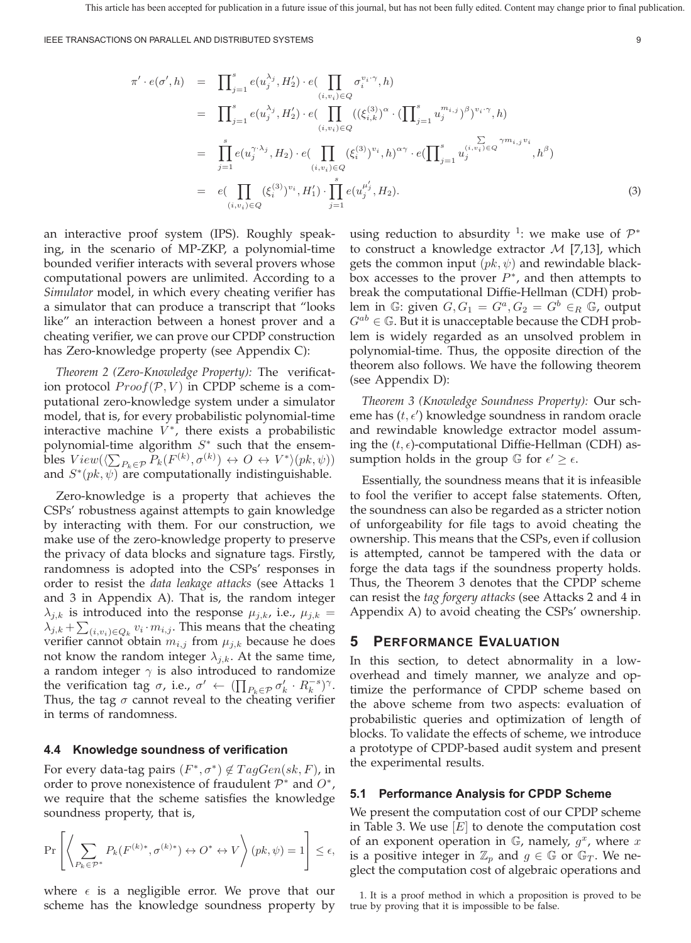IEEE TRANSACTIONS ON PARALLEL AND DISTRIBUTED SYSTEMS 9

$$
\pi' \cdot e(\sigma', h) = \prod_{j=1}^{s} e(u_j^{\lambda_j}, H_2') \cdot e(\prod_{(i, v_i) \in Q} \sigma_i^{v_i \cdot \gamma}, h)
$$
\n
$$
= \prod_{j=1}^{s} e(u_j^{\lambda_j}, H_2') \cdot e(\prod_{(i, v_i) \in Q} ((\xi_{i,k}^{(3)})^{\alpha} \cdot (\prod_{j=1}^{s} u_j^{m_{i,j}})^{\beta})^{v_i \cdot \gamma}, h)
$$
\n
$$
= \prod_{j=1}^{s} e(u_j^{\gamma \cdot \lambda_j}, H_2) \cdot e(\prod_{(i, v_i) \in Q} (\xi_i^{(3)})^{v_i}, h)^{\alpha \gamma} \cdot e(\prod_{j=1}^{s} u_j^{(i, v_i) \in Q}^{\gamma m_{i,j} v_i}, h^{\beta})
$$
\n
$$
= e(\prod_{(i, v_i) \in Q} (\xi_i^{(3)})^{v_i}, H_1') \cdot \prod_{j=1}^{s} e(u_j^{\mu_j'}, H_2).
$$
\n(3)

an interactive proof system (IPS). Roughly speaking, in the scenario of MP-ZKP, a polynomial-time bounded verifier interacts with several provers whose computational powers are unlimited. According to a *Simulator* model, in which every cheating verifier has a simulator that can produce a transcript that "looks like" an interaction between a honest prover and a cheating verifier, we can prove our CPDP construction has Zero-knowledge property (see Appendix C):

*Theorem 2 (Zero-Knowledge Property):* The verification protocol  $Proof(P, V)$  in CPDP scheme is a computational zero-knowledge system under a simulator model, that is, for every probabilistic polynomial-time interactive machine  $V^*$ , there exists a probabilistic polynomial-time algorithm  $S^*$  such that the ensembles  $View(\langle \sum_{P_k \in \mathcal{P}} P_k(F^{(k)}, \sigma^{(k)}) \leftrightarrow O \leftrightarrow V^* \rangle (pk, \psi))$ and  $S^*(pk, \psi)$  are computationally indistinguishable.

Zero-knowledge is a property that achieves the CSPs' robustness against attempts to gain knowledge by interacting with them. For our construction, we make use of the zero-knowledge property to preserve the privacy of data blocks and signature tags. Firstly, randomness is adopted into the CSPs' responses in order to resist the *data leakage attacks* (see Attacks 1 and 3 in Appendix A). That is, the random integer  $\lambda_{j,k}$  is introduced into the response  $\mu_{j,k}$ , i.e.,  $\mu_{j,k}$  =  $\lambda_{j,k} + \sum_{(i,v_i) \in Q_k} v_i \cdot m_{i,j}.$  This means that the cheating verifier cannot obtain  $m_{i,j}$  from  $\mu_{j,k}$  because he does not know the random integer  $\lambda_{j,k}$ . At the same time, a random integer  $\gamma$  is also introduced to randomize the verification tag  $\sigma$ , i.e.,  $\sigma' \leftarrow (\prod_{P_k \in \mathcal{P}} \sigma'_k \cdot R_k^{-s})^{\gamma}$ . Thus, the tag  $\sigma$  cannot reveal to the cheating verifier in terms of randomness.

#### **4.4 Knowledge soundness of verification**

For every data-tag pairs  $(F^*, \sigma^*) \notin TagGen(sk, F)$ , in order to prove nonexistence of fraudulent  $\mathcal{P}^*$  and  $\mathcal{O}^*$ , we require that the scheme satisfies the knowledge soundness property, that is,

$$
\Pr\left[\left\langle \sum_{P_k \in \mathcal{P}^*} P_k(F^{(k)*}, \sigma^{(k)*}) \leftrightarrow O^* \leftrightarrow V \right\rangle (pk, \psi) = 1\right] \le \epsilon,
$$

where  $\epsilon$  is a negligible error. We prove that our scheme has the knowledge soundness property by

using reduction to absurdity <sup>1</sup>: we make use of  $\mathcal{P}^*$ to construct a knowledge extractor  $M$  [7,13], which gets the common input  $(pk, \psi)$  and rewindable blackbox accesses to the prover  $P^*$ , and then attempts to break the computational Diffie-Hellman (CDH) problem in  $\mathbb{G}$ : given  $G, G_1 = G^a, G_2 = G^b \in_R \mathbb{G}$ , output  $G^{ab} \in \mathbb{G}$ . But it is unacceptable because the CDH problem is widely regarded as an unsolved problem in polynomial-time. Thus, the opposite direction of the theorem also follows. We have the following theorem (see Appendix D):

*Theorem 3 (Knowledge Soundness Property):* Our scheme has  $(t, \epsilon')$  knowledge soundness in random oracle and rewindable knowledge extractor model assuming the  $(t, \epsilon)$ -computational Diffie-Hellman (CDH) assumption holds in the group  $\mathbb G$  for  $\epsilon' \geq \epsilon$ .

Essentially, the soundness means that it is infeasible to fool the verifier to accept false statements. Often, the soundness can also be regarded as a stricter notion of unforgeability for file tags to avoid cheating the ownership. This means that the CSPs, even if collusion is attempted, cannot be tampered with the data or forge the data tags if the soundness property holds. Thus, the Theorem 3 denotes that the CPDP scheme can resist the *tag forgery attacks* (see Attacks 2 and 4 in Appendix A) to avoid cheating the CSPs' ownership.

## **5 PERFORMANCE EVALUATION**

In this section, to detect abnormality in a lowoverhead and timely manner, we analyze and optimize the performance of CPDP scheme based on the above scheme from two aspects: evaluation of probabilistic queries and optimization of length of blocks. To validate the effects of scheme, we introduce a prototype of CPDP-based audit system and present the experimental results.

### **5.1 Performance Analysis for CPDP Scheme**

We present the computation cost of our CPDP scheme in Table 3. We use  $[E]$  to denote the computation cost of an exponent operation in  $\mathbb{G}$ , namely,  $g^x$ , where x is a positive integer in  $\mathbb{Z}_p$  and  $g \in \mathbb{G}$  or  $\mathbb{G}_T$ . We neglect the computation cost of algebraic operations and

1. It is a proof method in which a proposition is proved to be true by proving that it is impossible to be false.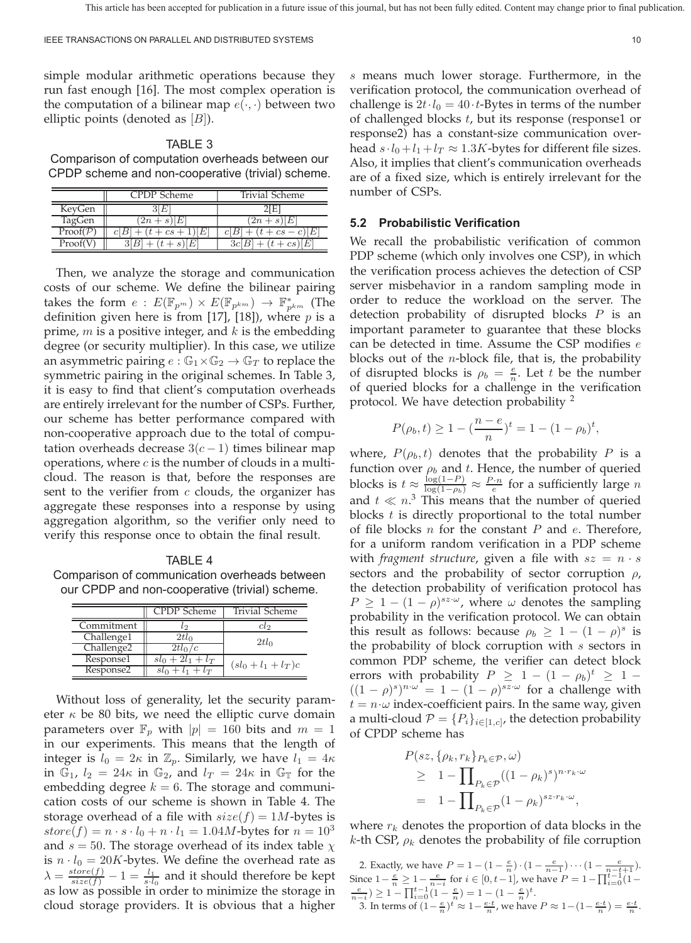simple modular arithmetic operations because they run fast enough [16]. The most complex operation is the computation of a bilinear map  $e(\cdot, \cdot)$  between two elliptic points (denoted as  $[B]$ ).

## TABLE 3

Comparison of computation overheads between our CPDP scheme and non-cooperative (trivial) scheme.

|                   | CPDP Scheme | Trivial Scheme      |
|-------------------|-------------|---------------------|
| KeyGen            |             |                     |
| TagGen            | $2n+s$<br>H | $2n+s$<br>H         |
| $Proof({\cal P})$ | $cs +$      | $\cdot$ cs $-$<br>E |
| Proof             |             |                     |

Then, we analyze the storage and communication costs of our scheme. We define the bilinear pairing takes the form  $e$  :  $E(\mathbb{F}_{p^m}) \times E(\mathbb{F}_{p^{km}}) \rightarrow \mathbb{F}_{p^{km}}^*$  (The definition given here is from [17], [18]), where  $p$  is a prime,  $m$  is a positive integer, and  $k$  is the embedding degree (or security multiplier). In this case, we utilize an asymmetric pairing  $e : \mathbb{G}_1 \times \mathbb{G}_2 \to \mathbb{G}_T$  to replace the symmetric pairing in the original schemes. In Table 3, it is easy to find that client's computation overheads are entirely irrelevant for the number of CSPs. Further, our scheme has better performance compared with non-cooperative approach due to the total of computation overheads decrease  $3(c-1)$  times bilinear map operations, where  $c$  is the number of clouds in a multicloud. The reason is that, before the responses are sent to the verifier from  $c$  clouds, the organizer has aggregate these responses into a response by using aggregation algorithm, so the verifier only need to verify this response once to obtain the final result.

TABLE 4 Comparison of communication overheads between our CPDP and non-cooperative (trivial) scheme.

|                        | CPDP Scheme         | Trivial Scheme        |
|------------------------|---------------------|-----------------------|
| Commitment             | ιO                  | cto                   |
| Challenge1             | $2tl_0$             | $2tl_0$               |
| Challenge <sub>2</sub> | $2tl_0/c$           |                       |
| Response1              | $sl_0 + 2l_1 + l_T$ | $(sl_0 + l_1 + l_T)c$ |
| Response2              | $sl_0 + l_1 + l_T$  |                       |

Without loss of generality, let the security parameter  $\kappa$  be 80 bits, we need the elliptic curve domain parameters over  $\mathbb{F}_p$  with  $|p|=160$  bits and  $m=1$ in our experiments. This means that the length of integer is  $l_0 = 2\kappa$  in  $\mathbb{Z}_p$ . Similarly, we have  $l_1 = 4\kappa$ in  $\mathbb{G}_1$ ,  $l_2 = 24\kappa$  in  $\mathbb{G}_2$ , and  $l_T = 24\kappa$  in  $\mathbb{G}_{\mathbb{T}}$  for the embedding degree  $k = 6$ . The storage and communication costs of our scheme is shown in Table 4. The storage overhead of a file with  $size(f)=1M$ -bytes is  $store(f) = n \cdot s \cdot l_0 + n \cdot l_1 = 1.04M$ -bytes for  $n = 10^3$ and  $s = 50$ . The storage overhead of its index table  $\chi$ is  $n \cdot l_0 = 20K$ -bytes. We define the overhead rate as  $\lambda = \frac{store(f)}{size(f)} - 1 = \frac{l_1}{s \cdot l_0}$  and it should therefore be kept as low as possible in order to minimize the storage in cloud storage providers. It is obvious that a higher

 means much lower storage. Furthermore, in the verification protocol, the communication overhead of challenge is  $2t \cdot l_0 = 40 \cdot t$ -Bytes in terms of the number of challenged blocks  $t$ , but its response (response1 or response2) has a constant-size communication overhead  $s \cdot l_0 + l_1 + l_T \approx 1.3K$ -bytes for different file sizes. Also, it implies that client's communication overheads are of a fixed size, which is entirely irrelevant for the number of CSPs.

#### **5.2 Probabilistic Verification**

We recall the probabilistic verification of common PDP scheme (which only involves one CSP), in which the verification process achieves the detection of CSP server misbehavior in a random sampling mode in order to reduce the workload on the server. The detection probability of disrupted blocks  $P$  is an important parameter to guarantee that these blocks can be detected in time. Assume the CSP modifies  $e$ blocks out of the  $n$ -block file, that is, the probability of disrupted blocks is  $\rho_b = \frac{e}{n}$ . Let t be the number of queried blocks for a challenge in the verification protocol. We have detection probability  $^2$ 

$$
P(\rho_b, t) \ge 1 - \left(\frac{n - e}{n}\right)^t = 1 - (1 - \rho_b)^t,
$$

where,  $P(\rho_b, t)$  denotes that the probability P is a function over  $\rho_b$  and t. Hence, the number of queried blocks is  $t \approx \frac{\log(1-P)}{\log(1-\rho_b)} \approx \frac{P \cdot n}{e}$  for a sufficiently large  $n$ and  $t \ll n^3$  This means that the number of queried blocks  $t$  is directly proportional to the total number of file blocks  $n$  for the constant  $P$  and  $e$ . Therefore, for a uniform random verification in a PDP scheme with *fragment structure*, given a file with  $sz = n \cdot s$ sectors and the probability of sector corruption  $\rho$ , the detection probability of verification protocol has  $P \ge 1 - (1 - \rho)^{sz \cdot \omega}$ , where  $\omega$  denotes the sampling probability in the verification protocol. We can obtain this result as follows: because  $\rho_b \geq 1 - (1 - \rho)^s$  is the probability of block corruption with  $s$  sectors in common PDP scheme, the verifier can detect block errors with probability  $P \geq 1 - (1 - \rho_b)^t \geq 1 ((1 - \rho)^s)^{n \cdot \omega} = 1 - (1 - \rho)^{sz \cdot \omega}$  for a challenge with  $t = n \cdot \omega$  index-coefficient pairs. In the same way, given a multi-cloud  $\mathcal{P} = \{P_i\}_{i \in [1, c]}$ , the detection probability of CPDP scheme has

$$
P(sz, \{\rho_k, r_k\}_{P_k \in \mathcal{P}}, \omega)
$$
  
\n
$$
\geq 1 - \prod_{P_k \in \mathcal{P}} ((1 - \rho_k)^s)^{n \cdot r_k \cdot \omega}
$$
  
\n
$$
= 1 - \prod_{P_k \in \mathcal{P}} (1 - \rho_k)^{sz \cdot r_k \cdot \omega},
$$

where  $r_k$  denotes the proportion of data blocks in the k-th CSP,  $\rho_k$  denotes the probability of file corruption

2. Exactly, we have  $P = 1 - (1 - \frac{e}{n}) \cdot (1 - \frac{e}{n-1}) \cdots (1 - \frac{e}{n-t+1})$ . Since  $1 - \frac{e}{n} \ge 1 - \frac{e}{n-i}$  for  $i \in [0, t-1]$ , we have  $P = 1 - \prod_{i=0}^{t-1} (1 - \frac{e}{n-i}) \ge 1 - \prod_{i=0}^{t-1} (1 - \frac{e}{n}) = 1 - (1 - \frac{e}{n})^t$ . 3. In terms of  $\left(1 - \frac{e}{n}\right)^t \approx 1 - \frac{e \cdot t}{n}$ , we have  $P \approx 1 - \left(1 - \frac{e \cdot t}{n}\right) = \frac{e \cdot t}{n}$ .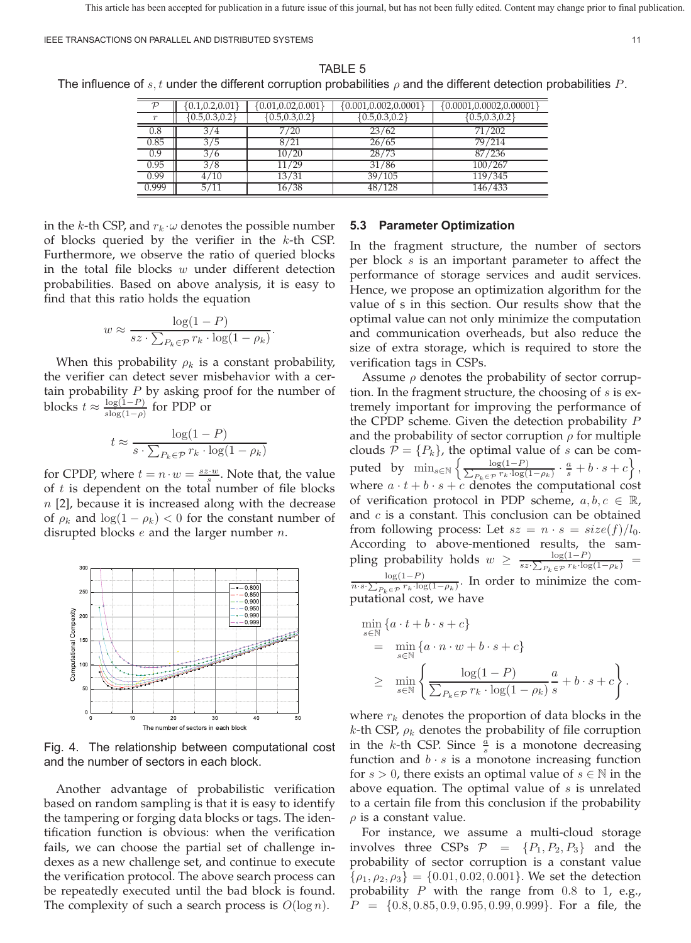|       | [0.1, 0.2, 0.01]  | [0.01, 0.02, 0.001] | [0.001, 0.002, 0.0001] | $\{0.0001, 0.0002, 0.00001$ |
|-------|-------------------|---------------------|------------------------|-----------------------------|
|       | ${0.5, 0.3, 0.2}$ | [0.5, 0.3, 0.2]     | [0.5, 0.3, 0.2]        | [0.5, 0.3, 0.2]             |
| 0.8   | 3/4               | 7/20                | 23/62                  | 71/202                      |
| 0.85  | 3/5               | 8/21                | 26/65                  | 79/214                      |
| 0.9   | 3/6               | 10/20               | 28/73                  | 87/236                      |
| 0.95  | 3/8               | 11/29               | 31/86                  | 100/267                     |
| 0.99  | 4/10              | 13/31               | 39/105                 | 119/345                     |
| 0.999 | 5/11              | 16/38               | 48/128                 | 146/433                     |

TABLE 5 The influence of  $s, t$  under the different corruption probabilities  $\rho$  and the different detection probabilities P.

in the k-th CSP, and  $r_k \cdot \omega$  denotes the possible number of blocks queried by the verifier in the  $k$ -th CSP. Furthermore, we observe the ratio of queried blocks in the total file blocks  $w$  under different detection probabilities. Based on above analysis, it is easy to find that this ratio holds the equation

$$
w \approx \frac{\log(1 - P)}{sz \cdot \sum_{P_k \in \mathcal{P}} r_k \cdot \log(1 - \rho_k)}.
$$

When this probability  $\rho_k$  is a constant probability, the verifier can detect sever misbehavior with a certain probability  $P$  by asking proof for the number of blocks  $t \approx \frac{\log(1-P)}{\log(1-\rho)}$  for PDP or

$$
t \approx \frac{\log(1-P)}{s\cdot \sum_{P_k \in \mathcal{P}} r_k \cdot \log(1-\rho_k)}
$$

for CPDP, where  $t = n \cdot w = \frac{sz \cdot w}{s}$ . Note that, the value of  $t$  is dependent on the total number of file blocks  $n$  [2], because it is increased along with the decrease of  $\rho_k$  and  $\log(1 - \rho_k) < 0$  for the constant number of disrupted blocks  $e$  and the larger number  $n$ .



Fig. 4. The relationship between computational cost and the number of sectors in each block.

Another advantage of probabilistic verification based on random sampling is that it is easy to identify the tampering or forging data blocks or tags. The identification function is obvious: when the verification fails, we can choose the partial set of challenge indexes as a new challenge set, and continue to execute the verification protocol. The above search process can be repeatedly executed until the bad block is found. The complexity of such a search process is  $O(\log n)$ .

## **5.3 Parameter Optimization**

In the fragment structure, the number of sectors per block  $s$  is an important parameter to affect the performance of storage services and audit services. Hence, we propose an optimization algorithm for the value of s in this section. Our results show that the optimal value can not only minimize the computation and communication overheads, but also reduce the size of extra storage, which is required to store the verification tags in CSPs.

Assume  $\rho$  denotes the probability of sector corruption. In the fragment structure, the choosing of  $s$  is extremely important for improving the performance of the CPDP scheme. Given the detection probability  $P$ and the probability of sector corruption  $\rho$  for multiple clouds  $\mathcal{P} = \{P_k\}$ , the optimal value of *s* can be computed by  $\min_{s\in\mathbb{N}}\left\{\frac{s}{n}\right\}$  $\frac{\log(1-P)}{P_k \in \mathcal{P}} \cdot \frac{a}{s} + b \cdot s + c$ , where  $a \cdot t + b \cdot s + c$  denotes the computational cost of verification protocol in PDP scheme,  $a, b, c \in \mathbb{R}$ , and  $c$  is a constant. This conclusion can be obtained from following process: Let  $sz = n \cdot s = size(f)/l_0$ . According to above-mentioned results, the sampling probability holds  $w \geq \frac{\log(1-P)}{sz \cdot \sum_{P_k \in \mathcal{P}} r_k \cdot \log(1-\rho_k)}$  $log(1-P)$  $\frac{\log(1-r)}{n \cdot s \cdot \sum_{P_k \in \mathcal{P}} r_k \cdot \log(1-\rho_k)}$ . In order to minimize the computational cost, we have

$$
\begin{aligned}\n&\min_{s\in\mathbb{N}}\left\{a\cdot t+b\cdot s+c\right\} \\
&= \min_{s\in\mathbb{N}}\left\{a\cdot n\cdot w+b\cdot s+c\right\} \\
&\geq \min_{s\in\mathbb{N}}\left\{\frac{\log(1-P)}{\sum_{P_k\in\mathcal{P}}r_k\cdot\log(1-\rho_k)}\frac{a}{s}+b\cdot s+c\right\}.\n\end{aligned}
$$

where  $r_k$  denotes the proportion of data blocks in the k-th CSP,  $\rho_k$  denotes the probability of file corruption in the *k*-th CSP. Since  $\frac{a}{s}$  is a monotone decreasing function and  $b \cdot s$  is a monotone increasing function for  $s > 0$ , there exists an optimal value of  $s \in \mathbb{N}$  in the above equation. The optimal value of  $s$  is unrelated to a certain file from this conclusion if the probability  $\rho$  is a constant value.

For instance, we assume a multi-cloud storage involves three CSPs  $P = \{P_1, P_2, P_3\}$  and the probability of sector corruption is a constant value  $\{\rho_1, \rho_2, \rho_3\} = \{0.01, 0.02, 0.001\}$ . We set the detection probability  $P$  with the range from 0.8 to 1, e.g.,  $P = \{0.8, 0.85, 0.9, 0.95, 0.99, 0.999\}$ . For a file, the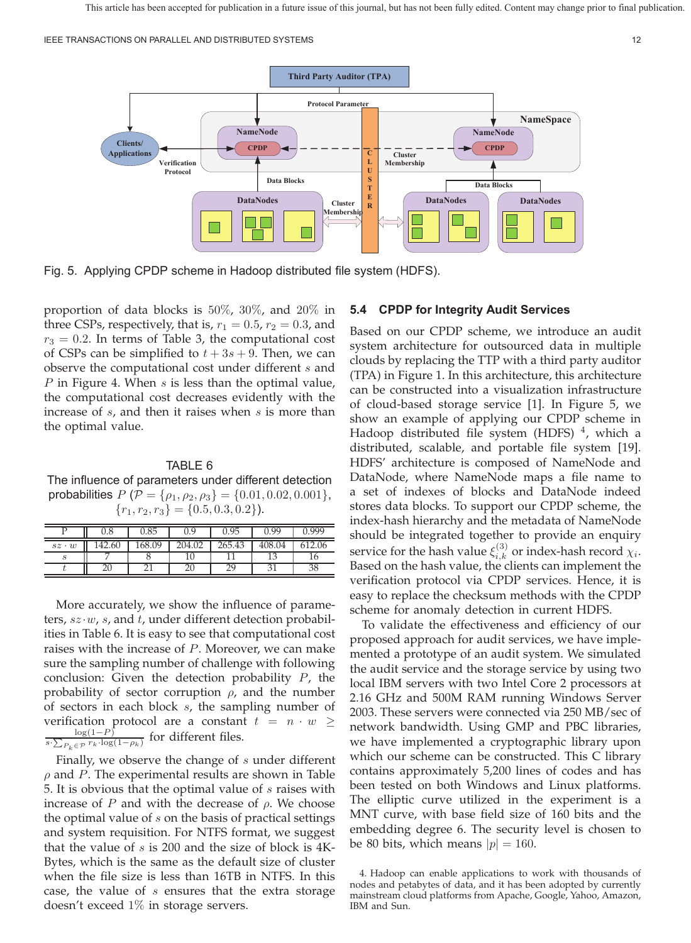IEEE TRANSACTIONS ON PARALLEL AND DISTRIBUTED SYSTEMS 12



Fig. 5. Applying CPDP scheme in Hadoop distributed file system (HDFS).

proportion of data blocks is 50%, 30%, and 20% in three CSPs, respectively, that is,  $r_1 = 0.5$ ,  $r_2 = 0.3$ , and  $r_3 = 0.2$ . In terms of Table 3, the computational cost of CSPs can be simplified to  $t + 3s + 9$ . Then, we can observe the computational cost under different  $s$  and P in Figure 4. When  $s$  is less than the optimal value, the computational cost decreases evidently with the increase of  $s$ , and then it raises when  $s$  is more than the optimal value.

## TABLE 6

The influence of parameters under different detection probabilities  $P(\mathcal{P} = {\rho_1, \rho_2, \rho_3} = {0.01, 0.02, 0.001}$ ,  ${r_1, r_2, r_3} = \{0.5, 0.3, 0.2\}.$ 

|             | 0.8   | J.85   | J.9    | 0.95   | በ 99   | qqq    |
|-------------|-------|--------|--------|--------|--------|--------|
| $sz\cdot w$ | 42.60 | 168.09 | 204.02 | 265.43 | 408.04 | 512.06 |
|             |       |        |        |        |        | Iб     |
|             |       |        |        | DС     |        |        |

More accurately, we show the influence of parameters,  $sz \cdot w$ , s, and t, under different detection probabilities in Table 6. It is easy to see that computational cost raises with the increase of  $P$ . Moreover, we can make sure the sampling number of challenge with following conclusion: Given the detection probability  $P$ , the probability of sector corruption  $\rho$ , and the number of sectors in each block  $s$ , the sampling number of verification protocol are a constant  $t = n \cdot w \ge$ <br>for different files  $\frac{\log(1-P)}{s\cdot\sum_{P_k\in\mathcal{P}}r_k\cdot\log(1-\rho_k)}$  for different files.

Finally, we observe the change of  $s$  under different  $\rho$  and P. The experimental results are shown in Table 5. It is obvious that the optimal value of  $s$  raises with increase of  $P$  and with the decrease of  $\rho$ . We choose the optimal value of  $s$  on the basis of practical settings and system requisition. For NTFS format, we suggest that the value of  $s$  is 200 and the size of block is 4K-Bytes, which is the same as the default size of cluster when the file size is less than 16TB in NTFS. In this case, the value of  $s$  ensures that the extra storage doesn't exceed 1% in storage servers.

#### **5.4 CPDP for Integrity Audit Services**

Based on our CPDP scheme, we introduce an audit system architecture for outsourced data in multiple clouds by replacing the TTP with a third party auditor (TPA) in Figure 1. In this architecture, this architecture can be constructed into a visualization infrastructure of cloud-based storage service [1]. In Figure 5, we show an example of applying our CPDP scheme in Hadoop distributed file system (HDFS)  $<sup>4</sup>$ , which a</sup> distributed, scalable, and portable file system [19]. HDFS' architecture is composed of NameNode and DataNode, where NameNode maps a file name to a set of indexes of blocks and DataNode indeed stores data blocks. To support our CPDP scheme, the index-hash hierarchy and the metadata of NameNode should be integrated together to provide an enquiry service for the hash value  $\xi_{i,k}^{(3)}$  or index-hash record  $\chi_i$ . Based on the hash value, the clients can implement the verification protocol via CPDP services. Hence, it is easy to replace the checksum methods with the CPDP scheme for anomaly detection in current HDFS.

To validate the effectiveness and efficiency of our proposed approach for audit services, we have implemented a prototype of an audit system. We simulated the audit service and the storage service by using two local IBM servers with two Intel Core 2 processors at 2.16 GHz and 500M RAM running Windows Server 2003. These servers were connected via 250 MB/sec of network bandwidth. Using GMP and PBC libraries, we have implemented a cryptographic library upon which our scheme can be constructed. This C library contains approximately 5,200 lines of codes and has been tested on both Windows and Linux platforms. The elliptic curve utilized in the experiment is a MNT curve, with base field size of 160 bits and the embedding degree 6. The security level is chosen to be 80 bits, which means  $|p|=160$ .

<sup>4.</sup> Hadoop can enable applications to work with thousands of nodes and petabytes of data, and it has been adopted by currently mainstream cloud platforms from Apache, Google, Yahoo, Amazon, IBM and Sun.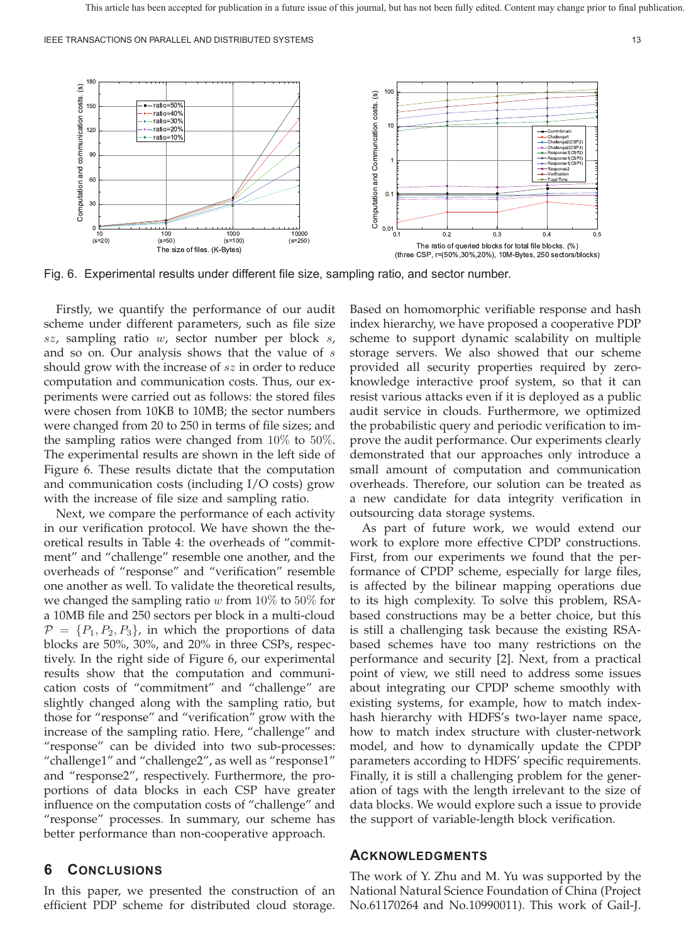

Fig. 6. Experimental results under different file size, sampling ratio, and sector number.

Firstly, we quantify the performance of our audit scheme under different parameters, such as file size  $sz$ , sampling ratio  $w$ , sector number per block  $s$ , and so on. Our analysis shows that the value of  $s$ should grow with the increase of  $sz$  in order to reduce computation and communication costs. Thus, our experiments were carried out as follows: the stored files were chosen from 10KB to 10MB; the sector numbers were changed from 20 to 250 in terms of file sizes; and the sampling ratios were changed from 10% to 50%. The experimental results are shown in the left side of Figure 6. These results dictate that the computation and communication costs (including I/O costs) grow with the increase of file size and sampling ratio.

Next, we compare the performance of each activity in our verification protocol. We have shown the theoretical results in Table 4: the overheads of "commitment" and "challenge" resemble one another, and the overheads of "response" and "verification" resemble one another as well. To validate the theoretical results, we changed the sampling ratio  $w$  from 10% to 50% for a 10MB file and 250 sectors per block in a multi-cloud  $\mathcal{P} = \{P_1, P_2, P_3\}$ , in which the proportions of data blocks are 50%, 30%, and 20% in three CSPs, respectively. In the right side of Figure 6, our experimental results show that the computation and communication costs of "commitment" and "challenge" are slightly changed along with the sampling ratio, but those for "response" and "verification" grow with the increase of the sampling ratio. Here, "challenge" and "response" can be divided into two sub-processes: "challenge1" and "challenge2", as well as "response1" and "response2", respectively. Furthermore, the proportions of data blocks in each CSP have greater influence on the computation costs of "challenge" and "response" processes. In summary, our scheme has better performance than non-cooperative approach.

## **6 CONCLUSIONS**

In this paper, we presented the construction of an efficient PDP scheme for distributed cloud storage.

Based on homomorphic verifiable response and hash index hierarchy, we have proposed a cooperative PDP scheme to support dynamic scalability on multiple storage servers. We also showed that our scheme provided all security properties required by zeroknowledge interactive proof system, so that it can resist various attacks even if it is deployed as a public audit service in clouds. Furthermore, we optimized the probabilistic query and periodic verification to improve the audit performance. Our experiments clearly demonstrated that our approaches only introduce a small amount of computation and communication overheads. Therefore, our solution can be treated as a new candidate for data integrity verification in outsourcing data storage systems.

As part of future work, we would extend our work to explore more effective CPDP constructions. First, from our experiments we found that the performance of CPDP scheme, especially for large files, is affected by the bilinear mapping operations due to its high complexity. To solve this problem, RSAbased constructions may be a better choice, but this is still a challenging task because the existing RSAbased schemes have too many restrictions on the performance and security [2]. Next, from a practical point of view, we still need to address some issues about integrating our CPDP scheme smoothly with existing systems, for example, how to match indexhash hierarchy with HDFS's two-layer name space, how to match index structure with cluster-network model, and how to dynamically update the CPDP parameters according to HDFS' specific requirements. Finally, it is still a challenging problem for the generation of tags with the length irrelevant to the size of data blocks. We would explore such a issue to provide the support of variable-length block verification.

### **ACKNOWLEDGMENTS**

The work of Y. Zhu and M. Yu was supported by the National Natural Science Foundation of China (Project No.61170264 and No.10990011). This work of Gail-J.